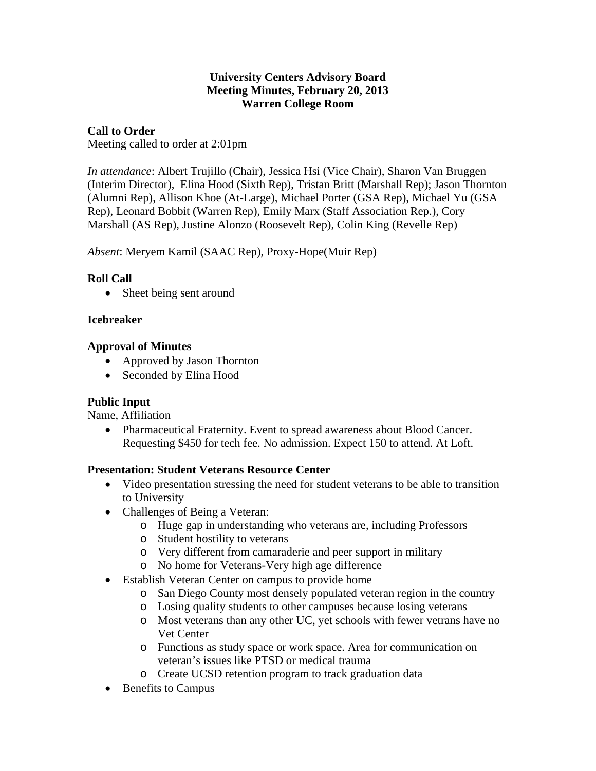### **University Centers Advisory Board Meeting Minutes, February 20, 2013 Warren College Room**

## **Call to Order**

Meeting called to order at 2:01pm

*In attendance*: Albert Trujillo (Chair), Jessica Hsi (Vice Chair), Sharon Van Bruggen (Interim Director), Elina Hood (Sixth Rep), Tristan Britt (Marshall Rep); Jason Thornton (Alumni Rep), Allison Khoe (At-Large), Michael Porter (GSA Rep), Michael Yu (GSA Rep), Leonard Bobbit (Warren Rep), Emily Marx (Staff Association Rep.), Cory Marshall (AS Rep), Justine Alonzo (Roosevelt Rep), Colin King (Revelle Rep)

*Absent*: Meryem Kamil (SAAC Rep), Proxy-Hope(Muir Rep)

# **Roll Call**

• Sheet being sent around

### **Icebreaker**

### **Approval of Minutes**

- Approved by Jason Thornton
- Seconded by Elina Hood

# **Public Input**

Name, Affiliation

• Pharmaceutical Fraternity. Event to spread awareness about Blood Cancer. Requesting \$450 for tech fee. No admission. Expect 150 to attend. At Loft.

### **Presentation: Student Veterans Resource Center**

- Video presentation stressing the need for student veterans to be able to transition to University
- Challenges of Being a Veteran:
	- o Huge gap in understanding who veterans are, including Professors
	- o Student hostility to veterans
	- o Very different from camaraderie and peer support in military
	- o No home for Veterans-Very high age difference
- Establish Veteran Center on campus to provide home
	- o San Diego County most densely populated veteran region in the country
	- o Losing quality students to other campuses because losing veterans
	- o Most veterans than any other UC, yet schools with fewer vetrans have no Vet Center
	- o Functions as study space or work space. Area for communication on veteran's issues like PTSD or medical trauma
	- o Create UCSD retention program to track graduation data
- Benefits to Campus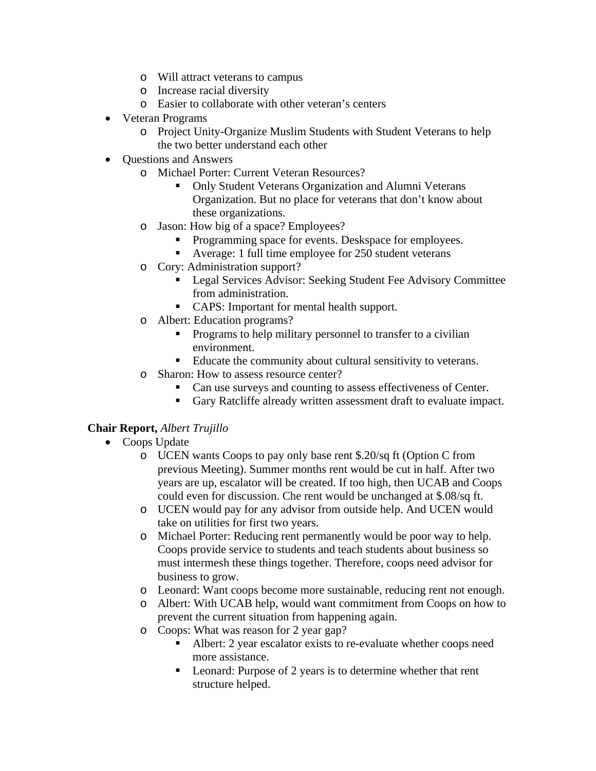- o Will attract veterans to campus
- o Increase racial diversity
- o Easier to collaborate with other veteran's centers
- Veteran Programs
	- o Project Unity-Organize Muslim Students with Student Veterans to help the two better understand each other
- Ouestions and Answers
	- o Michael Porter: Current Veteran Resources?
		- Only Student Veterans Organization and Alumni Veterans Organization. But no place for veterans that don't know about these organizations.
	- o Jason: How big of a space? Employees?
		- **Programming space for events. Deskspace for employees.**
		- Average: 1 full time employee for 250 student veterans
	- o Cory: Administration support?
		- **Legal Services Advisor: Seeking Student Fee Advisory Committee** from administration.
		- CAPS: Important for mental health support.
	- o Albert: Education programs?
		- **Programs to help military personnel to transfer to a civilian** environment.
		- Educate the community about cultural sensitivity to veterans.
	- o Sharon: How to assess resource center?
		- Can use surveys and counting to assess effectiveness of Center.
		- Gary Ratcliffe already written assessment draft to evaluate impact.

### **Chair Report,** *Albert Trujillo*

- Coops Update
	- o UCEN wants Coops to pay only base rent \$.20/sq ft (Option C from previous Meeting). Summer months rent would be cut in half. After two years are up, escalator will be created. If too high, then UCAB and Coops could even for discussion. Che rent would be unchanged at \$.08/sq ft.
	- o UCEN would pay for any advisor from outside help. And UCEN would take on utilities for first two years.
	- o Michael Porter: Reducing rent permanently would be poor way to help. Coops provide service to students and teach students about business so must intermesh these things together. Therefore, coops need advisor for business to grow.
	- o Leonard: Want coops become more sustainable, reducing rent not enough.
	- o Albert: With UCAB help, would want commitment from Coops on how to prevent the current situation from happening again.
	- o Coops: What was reason for 2 year gap?
		- Albert: 2 year escalator exists to re-evaluate whether coops need more assistance.
		- Leonard: Purpose of 2 years is to determine whether that rent structure helped.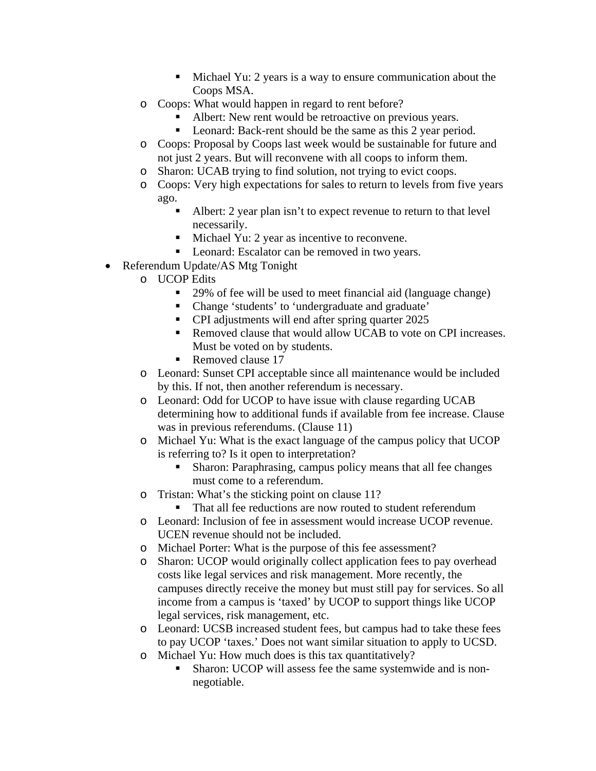- Michael Yu: 2 years is a way to ensure communication about the Coops MSA.
- o Coops: What would happen in regard to rent before?
	- Albert: New rent would be retroactive on previous years.
	- Leonard: Back-rent should be the same as this 2 year period.
- o Coops: Proposal by Coops last week would be sustainable for future and not just 2 years. But will reconvene with all coops to inform them.
- o Sharon: UCAB trying to find solution, not trying to evict coops.
- o Coops: Very high expectations for sales to return to levels from five years ago.
	- Albert: 2 year plan isn't to expect revenue to return to that level necessarily.
	- Michael Yu: 2 year as incentive to reconvene.
	- Leonard: Escalator can be removed in two years.
- Referendum Update/AS Mtg Tonight
	- o UCOP Edits
		- 29% of fee will be used to meet financial aid (language change)
		- Change 'students' to 'undergraduate and graduate'
		- **CPI** adjustments will end after spring quarter 2025
		- Removed clause that would allow UCAB to vote on CPI increases. Must be voted on by students.
		- Removed clause 17
	- o Leonard: Sunset CPI acceptable since all maintenance would be included by this. If not, then another referendum is necessary.
	- o Leonard: Odd for UCOP to have issue with clause regarding UCAB determining how to additional funds if available from fee increase. Clause was in previous referendums. (Clause 11)
	- o Michael Yu: What is the exact language of the campus policy that UCOP is referring to? Is it open to interpretation?
		- Sharon: Paraphrasing, campus policy means that all fee changes must come to a referendum.
	- o Tristan: What's the sticking point on clause 11?
		- That all fee reductions are now routed to student referendum
	- o Leonard: Inclusion of fee in assessment would increase UCOP revenue. UCEN revenue should not be included.
	- o Michael Porter: What is the purpose of this fee assessment?
	- o Sharon: UCOP would originally collect application fees to pay overhead costs like legal services and risk management. More recently, the campuses directly receive the money but must still pay for services. So all income from a campus is 'taxed' by UCOP to support things like UCOP legal services, risk management, etc.
	- o Leonard: UCSB increased student fees, but campus had to take these fees to pay UCOP 'taxes.' Does not want similar situation to apply to UCSD.
	- o Michael Yu: How much does is this tax quantitatively?
		- Sharon: UCOP will assess fee the same systemwide and is nonnegotiable.